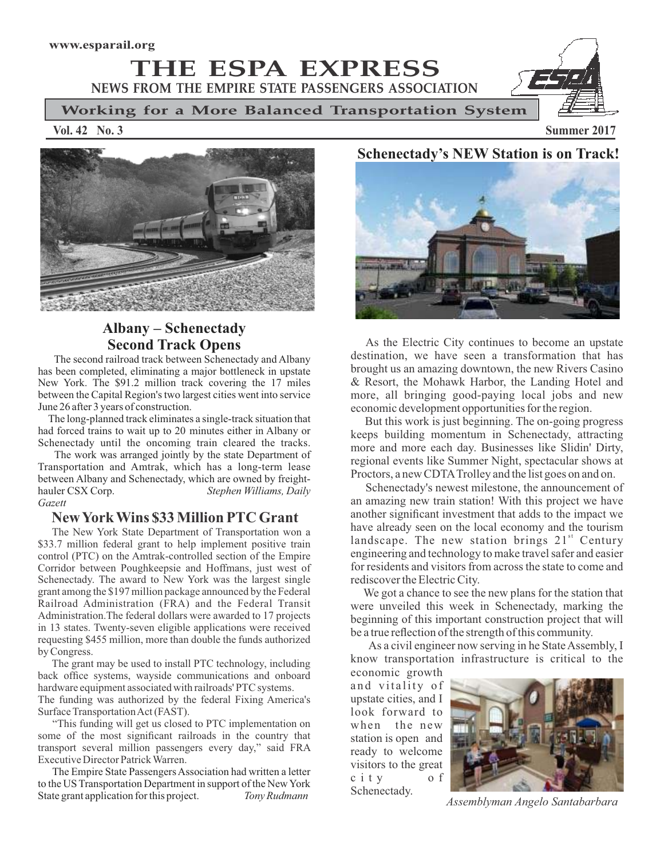**THE ESPA EXPRESS NEWS FROM THE EMPIRE STATE PASSENGERS ASSOCIATION**

**Working for a More Balanced Transportation System** Ì

**Vol. 42 No. 3 Summer 2017**



### **Albany – Schenectady Second Track Opens**

The second railroad track between Schenectady and Albany has been completed, eliminating a major bottleneck in upstate New York. The \$91.2 million track covering the 17 miles between the Capital Region's two largest cities went into service June 26 after 3 years of construction.

The long-planned track eliminates a single-track situation that had forced trains to wait up to 20 minutes either in Albany or Schenectady until the oncoming train cleared the tracks.

The work was arranged jointly by the state Department of Transportation and Amtrak, which has a long-term lease between Albany and Schenectady, which are owned by freight-<br>hauler CSX Corp. Stephen Williams, Daily Stephen Williams, Daily *Gazett*

### **New York Wins \$33 Million PTC Grant**

The New York State Department of Transportation won a \$33.7 million federal grant to help implement positive train control (PTC) on the Amtrak-controlled section of the Empire Corridor between Poughkeepsie and Hoffmans, just west of Schenectady. The award to New York was the largest single grant among the \$197 million package announced by the Federal Railroad Administration (FRA) and the Federal Transit Administration.The federal dollars were awarded to 17 projects in 13 states. Twenty-seven eligible applications were received requesting \$455 million, more than double the funds authorized by Congress.

The grant may be used to install PTC technology, including back office systems, wayside communications and onboard hardware equipment associated with railroads' PTC systems.

The funding was authorized by the federal Fixing America's Surface Transportation Act (FAST).

"This funding will get us closed to PTC implementation on some of the most significant railroads in the country that transport several million passengers every day," said FRA Executive Director Patrick Warren.

The Empire State Passengers Association had written a letter to the US Transportation Department in support of the New York State grant application for this project. *Tony Rudmann*

# **Schenectady's NEW Station is on Track!**



As the Electric City continues to become an upstate destination, we have seen a transformation that has brought us an amazing downtown, the new Rivers Casino & Resort, the Mohawk Harbor, the Landing Hotel and more, all bringing good-paying local jobs and new economic development opportunities for the region.

But this work is just beginning. The on-going progress keeps building momentum in Schenectady, attracting more and more each day. Businesses like Slidin' Dirty, regional events like Summer Night, spectacular shows at Proctors, a new CDTATrolley and the list goes on and on.

Schenectady's newest milestone, the announcement of an amazing new train station! With this project we have another significant investment that adds to the impact we have already seen on the local economy and the tourism landscape. The new station brings 21<sup>st</sup> Century engineering and technology to make travel safer and easier for residents and visitors from across the state to come and rediscover the Electric City.

We got a chance to see the new plans for the station that were unveiled this week in Schenectady, marking the beginning of this important construction project that will be a true reflection of the strength of this community.

As a civil engineer now serving in he State Assembly, I know transportation infrastructure is critical to the

economic growth and vitality of upstate cities, and I look forward to when the new station is open and ready to welcome visitors to the great c i t y o f [Schenectady.](http://blog.timesunion.com/santabarbara/author/angelosantabarbara/) 



 *Assemblyman Angelo Santabarbara*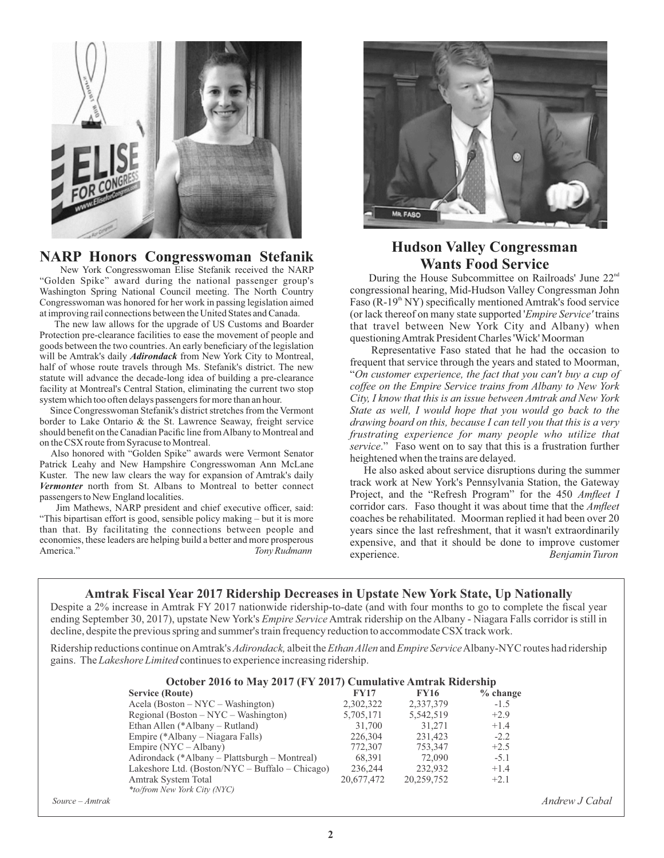

## **NARP Honors Congresswoman Stefanik**

New York Congresswoman Elise Stefanik received the NARP "Golden Spike" award during the national passenger group's Washington Spring National Council meeting. The North Country Congresswoman was honored for her work in passing legislation aimed at improving rail connections between the United States and Canada.

The new law allows for the upgrade of US Customs and Boarder Protection pre-clearance facilities to ease the movement of people and goods between the two countries. An early beneficiary of the legislation will be Amtrak's daily *Adirondack* from New York City to Montreal, half of whose route travels through Ms. Stefanik's district. The new statute will advance the decade-long idea of building a pre-clearance facility at Montreal's Central Station, eliminating the current two stop system which too often delays passengers for more than an hour.

Since Congresswoman Stefanik's district stretches from the Vermont border to Lake Ontario & the St. Lawrence Seaway, freight service should benefit on the Canadian Pacific line from Albany to Montreal and on the CSX route from Syracuse to Montreal.

Also honored with "Golden Spike" awards were Vermont Senator Patrick Leahy and New Hampshire Congresswoman Ann McLane Kuster. The new law clears the way for expansion of Amtrak's daily *Vermonter* north from St. Albans to Montreal to better connect passengers to New England localities.

Jim Mathews, NARP president and chief executive officer, said: "This bipartisan effort is good, sensible policy making – but it is more than that. By facilitating the connections between people and economies, these leaders are helping build a better and more prosperous America." *Tony Rudmann*



## **Hudson Valley Congressman Wants Food Service**

During the House Subcommittee on Railroads' June 22<sup>nd</sup> congressional hearing, Mid-Hudson Valley Congressman John Faso ( $R-19<sup>th</sup> NY$ ) specifically mentioned Amtrak's food service (or lack thereof on many state supported '*Empire Service'* trains that travel between New York City and Albany) when questioning Amtrak President Charles 'Wick' Moorman

Representative Faso stated that he had the occasion to frequent that service through the years and stated to Moorman, "*On customer experience, the fact that you can't buy a cup of coffee on the Empire Service trains from Albany to New York City, I know that this is an issue between Amtrak and New York State as well, I would hope that you would go back to the drawing board on this, because I can tell you that this is a very frustrating experience for many people who utilize that service*." Faso went on to say that this is a frustration further heightened when the trains are delayed.

 He also asked about service disruptions during the summer track work at New York's Pennsylvania Station, the Gateway Project, and the "Refresh Program" for the 450 *Amfleet I* corridor cars. Faso thought it was about time that the *Amfleet* coaches be rehabilitated. Moorman replied it had been over 20 years since the last refreshment, that it wasn't extraordinarily expensive, and that it should be done to improve customer experience. *Benjamin Turon*

#### **Amtrak Fiscal Year 2017 Ridership Decreases in Upstate New York State, Up Nationally**

Despite a 2% increase in Amtrak FY 2017 nationwide ridership-to-date (and with four months to go to complete the fiscal year ending September 30, 2017), upstate New York's *Empire Service* Amtrak ridership on the Albany - Niagara Falls corridor is still in decline, despite the previous spring and summer's train frequency reduction to accommodate CSX track work.

Ridership reductions continue on Amtrak's *Adirondack,* albeit the *Ethan Allen* and *Empire Service*Albany-NYC routes had ridership gains. The *Lakeshore Limited* continues to experience increasing ridership.

|                 | October 2016 to May 2017 (FY 2017) Cumulative Amtrak Ridership |             |             |            |                |  |
|-----------------|----------------------------------------------------------------|-------------|-------------|------------|----------------|--|
|                 | <b>Service (Route)</b>                                         | <b>FY17</b> | <b>FY16</b> | $%$ change |                |  |
|                 | Acela (Boston $-$ NYC $-$ Washington)                          | 2,302,322   | 2,337,379   | $-1.5$     |                |  |
|                 | Regional (Boston $-$ NYC $-$ Washington)                       | 5,705,171   | 5,542,519   | $+2.9$     |                |  |
|                 | Ethan Allen (*Albany – Rutland)                                | 31,700      | 31.271      | $+1.4$     |                |  |
|                 | Empire (*Albany – Niagara Falls)                               | 226,304     | 231,423     | $-2.2$     |                |  |
|                 | Empire $(NYC - Albany)$                                        | 772,307     | 753,347     | $+2.5$     |                |  |
|                 | Adirondack (*Albany – Plattsburgh – Montreal)                  | 68.391      | 72.090      | $-5.1$     |                |  |
|                 | Lakeshore Ltd. (Boston/NYC – Buffalo – Chicago)                | 236,244     | 232,932     | $+1.4$     |                |  |
|                 | Amtrak System Total                                            | 20,677,472  | 20,259,752  | $+2.1$     |                |  |
|                 | <i>*to/from New York City (NYC)</i>                            |             |             |            |                |  |
| Source – Amtrak |                                                                |             |             |            | Andrew J Cabal |  |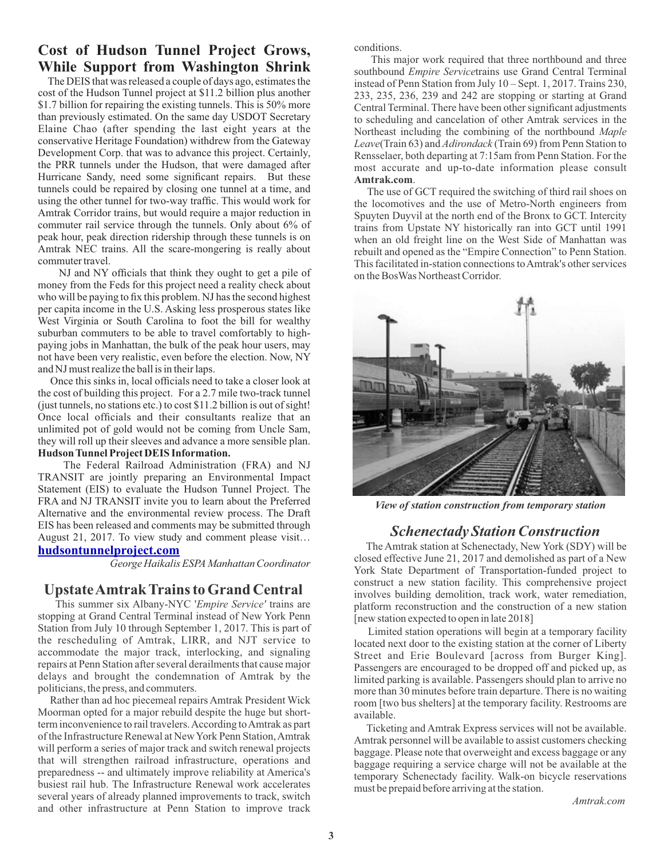## **Cost of Hudson Tunnel Project Grows, While Support from Washington Shrink**

The DEIS that was released a couple of days ago, estimates the cost of the Hudson Tunnel project at \$11.2 billion plus another \$1.7 billion for repairing the existing tunnels. This is 50% more than previously estimated. On the same day USDOT Secretary Elaine Chao (after spending the last eight years at the conservative Heritage Foundation) withdrew from the Gateway Development Corp. that was to advance this project. Certainly, the PRR tunnels under the Hudson, that were damaged after Hurricane Sandy, need some significant repairs. But these tunnels could be repaired by closing one tunnel at a time, and using the other tunnel for two-way traffic. This would work for Amtrak Corridor trains, but would require a major reduction in commuter rail service through the tunnels. Only about 6% of peak hour, peak direction ridership through these tunnels is on Amtrak NEC trains. All the scare-mongering is really about commuter travel.

NJ and NY officials that think they ought to get a pile of money from the Feds for this project need a reality check about who will be paying to fix this problem. NJ has the second highest per capita income in the U.S. Asking less prosperous states like West Virginia or South Carolina to foot the bill for wealthy suburban commuters to be able to travel comfortably to highpaying jobs in Manhattan, the bulk of the peak hour users, may not have been very realistic, even before the election. Now, NY and NJ must realize the ball is in their laps.

Once this sinks in, local officials need to take a closer look at the cost of building this project. For a 2.7 mile two-track tunnel (just tunnels, no stations etc.) to cost \$11.2 billion is out of sight! Once local officials and their consultants realize that an unlimited pot of gold would not be coming from Uncle Sam, they will roll up their sleeves and advance a more sensible plan. **Hudson Tunnel Project DEIS Information.**

The Federal Railroad Administration (FRA) and NJ TRANSIT are jointly preparing an Environmental Impact Statement (EIS) to evaluate the Hudson Tunnel Project. The FRA and NJ TRANSIT invite you to learn about the Preferred Alternative and the environmental review process. The Draft EIS has been released and comments may be submitted through August 21, 2017. To view study and comment please visit…

#### **[hudsontunnelproject.com](http://hudsontunnelproject.com/)**

*George Haikalis ESPAManhattan Coordinator*

#### **Upstate Amtrak Trains to Grand Central**

This summer six Albany-NYC '*Empire Service'* trains are stopping at Grand Central Terminal instead of New York Penn Station from July 10 through September 1, 2017. This is part of the rescheduling of Amtrak, LIRR, and NJT service to accommodate the major track, interlocking, and signaling repairs at Penn Station after several derailments that cause major delays and brought the condemnation of Amtrak by the politicians, the press, and commuters.

Rather than ad hoc piecemeal repairs Amtrak President Wick Moorman opted for a major rebuild despite the huge but shortterm inconvenience to rail travelers. According to Amtrak as part of the Infrastructure Renewal at New York Penn Station, Amtrak will perform a series of major track and switch renewal projects that will strengthen railroad infrastructure, operations and preparedness -- and ultimately improve reliability at America's busiest rail hub. The Infrastructure Renewal work accelerates several years of already planned improvements to track, switch and other infrastructure at Penn Station to improve track conditions.

This major work required that three northbound and three southbound *Empire Service*trains use Grand Central Terminal instead of Penn Station from July 10 – Sept. 1, 2017. Trains 230, 233, 235, 236, 239 and 242 are stopping or starting at Grand Central Terminal. There have been other significant adjustments to scheduling and cancelation of other Amtrak services in the Northeast including the combining of the northbound *Maple Leave*(Train 63) and *Adirondack* (Train 69) from Penn Station to Rensselaer, both departing at 7:15am from Penn Station. For the most accurate and up-to-date information please consult **Amtrak.com**.

The use of GCT required the switching of third rail shoes on the locomotives and the use of Metro-North engineers from Spuyten Duyvil at the north end of the Bronx to GCT. Intercity trains from Upstate NY historically ran into GCT until 1991 when an old freight line on the West Side of Manhattan was rebuilt and opened as the "Empire Connection" to Penn Station. This facilitated in-station connections to Amtrak's other services on the BosWas Northeast Corridor.



*View of station construction from temporary station* 

### *Schenectady Station Construction*

The Amtrak station at Schenectady, New York (SDY) will be closed effective June 21, 2017 and demolished as part of a New York State Department of Transportation-funded project to construct a new station facility. This comprehensive project involves building demolition, track work, water remediation, platform reconstruction and the construction of a new station [new station expected to open in late 2018]

 Limited station operations will begin at a temporary facility located next door to the existing station at the corner of Liberty Street and Erie Boulevard [across from Burger King]. Passengers are encouraged to be dropped off and picked up, as limited parking is available. Passengers should plan to arrive no more than 30 minutes before train departure. There is no waiting room [two bus shelters] at the temporary facility. Restrooms are available.

Ticketing and Amtrak Express services will not be available. Amtrak personnel will be available to assist customers checking baggage. Please note that overweight and excess baggage or any baggage requiring a service charge will not be available at the temporary Schenectady facility. Walk-on bicycle reservations must be prepaid before arriving at the station.

*Amtrak.com*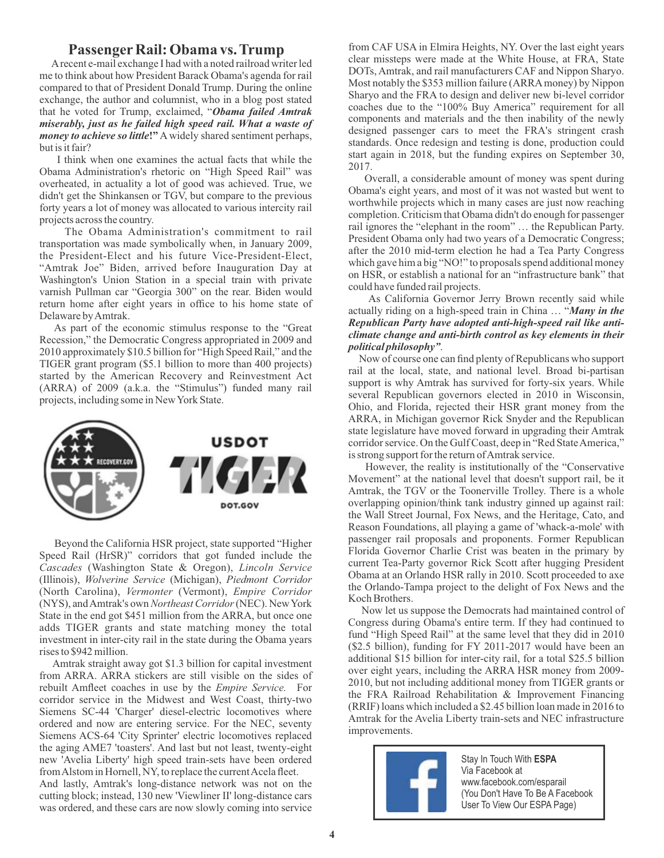#### **PassengerRail: Obama vs. Trump**

 Arecent e-mail exchange I had with a noted railroad writer led me to think about how President Barack Obama's agenda for rail compared to that of President Donald Trump. During the online exchange, the author and columnist, who in a blog post stated that he voted for Trump, exclaimed, "*Obama failed Amtrak miserably, just as he failed high speed rail. What a waste of money to achieve so little***!"**Awidely shared sentiment perhaps, but is it fair?

I think when one examines the actual facts that while the Obama Administration's rhetoric on "High Speed Rail" was overheated, in actuality a lot of good was achieved. True, we didn't get the Shinkansen or TGV, but compare to the previous forty years a lot of money was allocated to various intercity rail projects across the country.

The Obama Administration's commitment to rail transportation was made symbolically when, in January 2009, the President-Elect and his future Vice-President-Elect, "Amtrak Joe" Biden, arrived before Inauguration Day at Washington's Union Station in a special train with private varnish Pullman car "Georgia 300" on the rear. Biden would return home after eight years in office to his home state of Delaware by Amtrak.

As part of the economic stimulus response to the "Great Recession," the Democratic Congress appropriated in 2009 and 2010 approximately \$10.5 billion for "High Speed Rail," and the TIGER grant program (\$5.1 billion to more than 400 projects) started by the American Recovery and Reinvestment Act (ARRA) of 2009 (a.k.a. the "Stimulus") funded many rail projects, including some in New York State.



Beyond the California HSR project, state supported "Higher Speed Rail (HrSR)" corridors that got funded include the *Cascades* (Washington State & Oregon), *Lincoln Service* (Illinois), *Wolverine Service* (Michigan), *Piedmont Corridor* (North Carolina), *Vermonter* (Vermont), *Empire Corridor* (NYS), and Amtrak's own *Northeast Corridor*(NEC). New York State in the end got \$451 million from the ARRA, but once one adds TIGER grants and state matching money the total investment in inter-city rail in the state during the Obama years rises to \$942 million.

Amtrak straight away got \$1.3 billion for capital investment from ARRA. ARRA stickers are still visible on the sides of rebuilt Amfleet coaches in use by the *Empire Service*. For corridor service in the Midwest and West Coast, thirty-two Siemens SC-44 'Charger' diesel-electric locomotives where ordered and now are entering service. For the NEC, seventy Siemens ACS-64 'City Sprinter' electric locomotives replaced the aging AME7 'toasters'. And last but not least, twenty-eight new 'Avelia Liberty' high speed train-sets have been ordered from Alstom in Hornell, NY, to replace the current Acela fleet.

And lastly, Amtrak's long-distance network was not on the cutting block; instead, 130 new 'Viewliner II' long-distance cars was ordered, and these cars are now slowly coming into service from CAF USA in Elmira Heights, NY. Over the last eight years clear missteps were made at the White House, at FRA, State DOTs, Amtrak, and rail manufacturers CAF and Nippon Sharyo. Most notably the \$353 million failure (ARRAmoney) by Nippon Sharyo and the FRA to design and deliver new bi-level corridor coaches due to the "100% Buy America" requirement for all components and materials and the then inability of the newly designed passenger cars to meet the FRA's stringent crash standards. Once redesign and testing is done, production could start again in 2018, but the funding expires on September 30, 2017.

Overall, a considerable amount of money was spent during Obama's eight years, and most of it was not wasted but went to worthwhile projects which in many cases are just now reaching completion. Criticism that Obama didn't do enough for passenger rail ignores the "elephant in the room" … the Republican Party. President Obama only had two years of a Democratic Congress; after the 2010 mid-term election he had a Tea Party Congress which gave him a big "NO!" to proposals spend additional money on HSR, or establish a national for an "infrastructure bank" that could have funded rail projects.

As California Governor Jerry Brown recently said while actually riding on a high-speed train in China … "*Many in the Republican Party have adopted anti-high-speed rail like anticlimate change and anti-birth control as key elements in their political philosophy"*.

Now of course one can find plenty of Republicans who support rail at the local, state, and national level. Broad bi-partisan support is why Amtrak has survived for forty-six years. While several Republican governors elected in 2010 in Wisconsin, Ohio, and Florida, rejected their HSR grant money from the ARRA, in Michigan governor Rick Snyder and the Republican state legislature have moved forward in upgrading their Amtrak corridor service. On the Gulf Coast, deep in "Red State America," is strong support for the return of Amtrak service.

However, the reality is institutionally of the "Conservative Movement" at the national level that doesn't support rail, be it Amtrak, the TGV or the Toonerville Trolley. There is a whole overlapping opinion/think tank industry ginned up against rail: the Wall Street Journal, Fox News, and the Heritage, Cato, and Reason Foundations, all playing a game of 'whack-a-mole' with passenger rail proposals and proponents. Former Republican Florida Governor Charlie Crist was beaten in the primary by current Tea-Party governor Rick Scott after hugging President Obama at an Orlando HSR rally in 2010. Scott proceeded to axe the Orlando-Tampa project to the delight of Fox News and the Koch Brothers.

Now let us suppose the Democrats had maintained control of Congress during Obama's entire term. If they had continued to fund "High Speed Rail" at the same level that they did in 2010 (\$2.5 billion), funding for FY 2011-2017 would have been an additional \$15 billion for inter-city rail, for a total \$25.5 billion over eight years, including the ARRA HSR money from 2009- 2010, but not including additional money from TIGER grants or the FRA Railroad Rehabilitation & Improvement Financing (RRIF) loans which included a \$2.45 billion loan made in 2016 to Amtrak for the Avelia Liberty train-sets and NEC infrastructure improvements.



Stay In Touch With **ESPA** Via Facebook at www.facebook.com/esparail (You Don't Have To Be A Facebook User To View Our ESPA Page)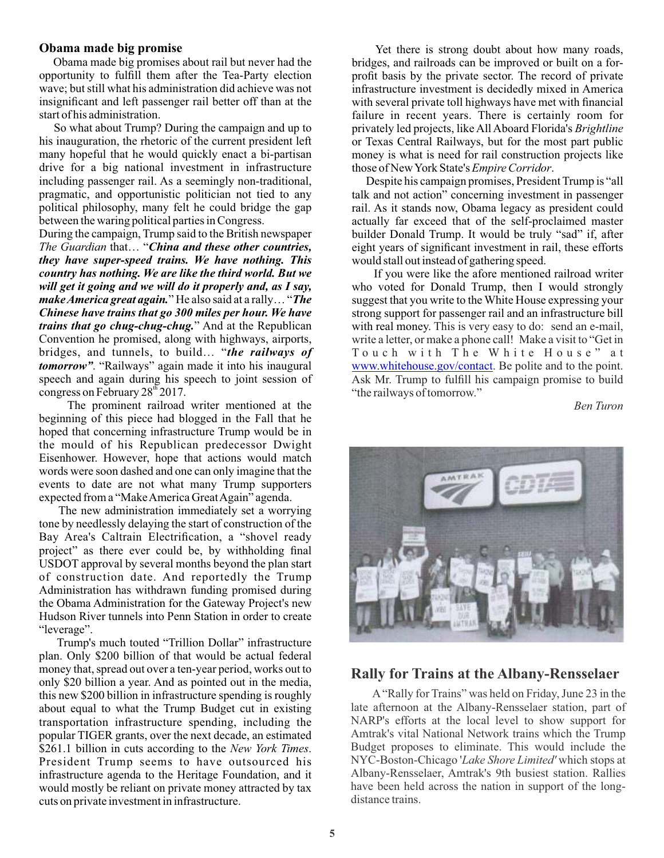#### **Obama made big promise**

Obama made big promises about rail but never had the opportunity to fulll them after the Tea-Party election wave; but still what his administration did achieve was not insignicant and left passenger rail better off than at the start of his administration.

So what about Trump? During the campaign and up to his inauguration, the rhetoric of the current president left many hopeful that he would quickly enact a bi-partisan drive for a big national investment in infrastructure including passenger rail. As a seemingly non-traditional, pragmatic, and opportunistic politician not tied to any political philosophy, many felt he could bridge the gap between the waring political parties in Congress.

During the campaign, Trump said to the British newspaper *The Guardian* that… "*China and these other countries, they have super-speed trains. We have nothing. This country has nothing. We are like the third world. But we will get it going and we will do it properly and, as I say, make America great again.*" He also said at a rally… "*The Chinese have trains that go 300 miles per hour. We have trains that go chug-chug-chug.*" And at the Republican Convention he promised, along with highways, airports, bridges, and tunnels, to build… "*the railways of tomorrow"*. "Railways" again made it into his inaugural speech and again during his speech to joint session of congress on February  $28<sup>th</sup> 2017$ .

The prominent railroad writer mentioned at the beginning of this piece had blogged in the Fall that he hoped that concerning infrastructure Trump would be in the mould of his Republican predecessor Dwight Eisenhower. However, hope that actions would match words were soon dashed and one can only imagine that the events to date are not what many Trump supporters expected from a "Make America Great Again" agenda.

The new administration immediately set a worrying tone by needlessly delaying the start of construction of the Bay Area's Caltrain Electrification, a "shovel ready project" as there ever could be, by withholding final USDOT approval by several months beyond the plan start of construction date. And reportedly the Trump Administration has withdrawn funding promised during the Obama Administration for the Gateway Project's new Hudson River tunnels into Penn Station in order to create "leverage".

Trump's much touted "Trillion Dollar" infrastructure plan. Only \$200 billion of that would be actual federal money that, spread out over a ten-year period, works out to only \$20 billion a year. And as pointed out in the media, this new \$200 billion in infrastructure spending is roughly about equal to what the Trump Budget cut in existing transportation infrastructure spending, including the popular TIGER grants, over the next decade, an estimated \$261.1 billion in cuts according to the *New York Times*. President Trump seems to have outsourced his infrastructure agenda to the Heritage Foundation, and it would mostly be reliant on private money attracted by tax cuts on private investment in infrastructure.

Yet there is strong doubt about how many roads, bridges, and railroads can be improved or built on a forprofit basis by the private sector. The record of private infrastructure investment is decidedly mixed in America with several private toll highways have met with financial failure in recent years. There is certainly room for privately led projects, like All Aboard Florida's *Brightline* or Texas Central Railways, but for the most part public money is what is need for rail construction projects like those of New York State's *Empire Corridor*.

Despite his campaign promises, President Trump is "all talk and not action" concerning investment in passenger rail. As it stands now, Obama legacy as president could actually far exceed that of the self-proclaimed master builder Donald Trump. It would be truly "sad" if, after eight years of significant investment in rail, these efforts would stall out instead of gathering speed.

If you were like the afore mentioned railroad writer who voted for Donald Trump, then I would strongly suggest that you write to the White House expressing your strong support for passenger rail and an infrastructure bill with real money. This is very easy to do: send an e-mail, write a letter, or make a phone call! Make a visit to "Get in Touch with The White House" at [www.whitehouse.gov/contact](http://www.whitehouse.gov/contact). Be polite and to the point. Ask Mr. Trump to fulfill his campaign promise to build "the railways of tomorrow."

*Ben Turon*



#### **Rally for Trains at the Albany-Rensselaer**

A"Rally for Trains" was held on Friday, June 23 in the late afternoon at the Albany-Rensselaer station, part of NARP's efforts at the local level to show support for Amtrak's vital National Network trains which the Trump Budget proposes to eliminate. This would include the NYC-Boston-Chicago '*Lake Shore Limited'* which stops at Albany-Rensselaer, Amtrak's 9th busiest station. Rallies have been held across the nation in support of the longdistance trains.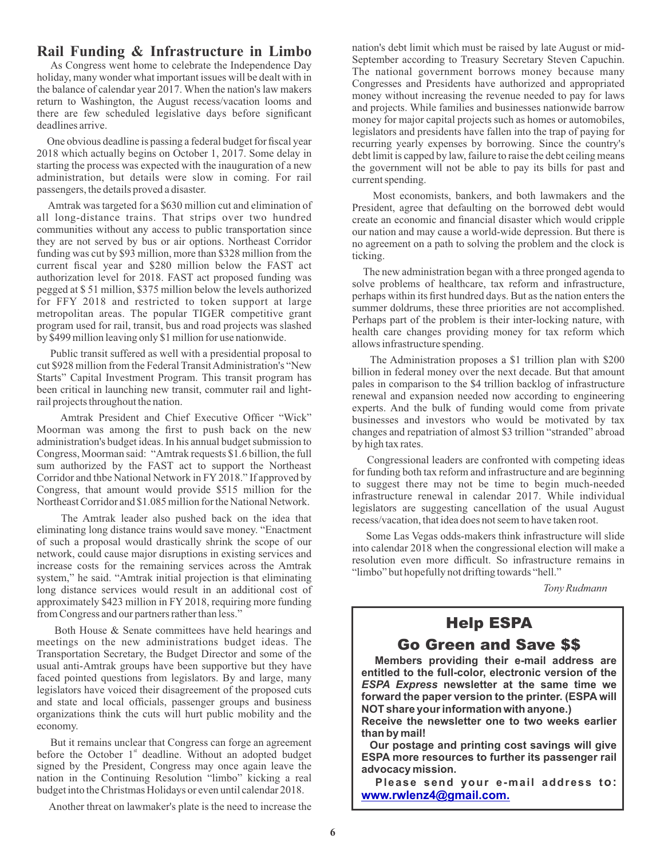### **Rail Funding & Infrastructure in Limbo**

As Congress went home to celebrate the Independence Day holiday, many wonder what important issues will be dealt with in the balance of calendar year 2017. When the nation's law makers return to Washington, the August recess/vacation looms and there are few scheduled legislative days before significant deadlines arrive.

One obvious deadline is passing a federal budget for fiscal year 2018 which actually begins on October 1, 2017. Some delay in starting the process was expected with the inauguration of a new administration, but details were slow in coming. For rail passengers, the details proved a disaster.

Amtrak was targeted for a \$630 million cut and elimination of all long-distance trains. That strips over two hundred communities without any access to public transportation since they are not served by bus or air options. Northeast Corridor funding was cut by \$93 million, more than \$328 million from the current fiscal year and \$280 million below the FAST act authorization level for 2018. FAST act proposed funding was pegged at \$ 51 million, \$375 million below the levels authorized for FFY 2018 and restricted to token support at large metropolitan areas. The popular TIGER competitive grant program used for rail, transit, bus and road projects was slashed by \$499 million leaving only \$1 million for use nationwide.

Public transit suffered as well with a presidential proposal to cut \$928 million from the Federal Transit Administration's "New Starts" Capital Investment Program. This transit program has been critical in launching new transit, commuter rail and lightrail projects throughout the nation.

Amtrak President and Chief Executive Officer "Wick" Moorman was among the first to push back on the new administration's budget ideas. In his annual budget submission to Congress, Moorman said: "Amtrak requests \$1.6 billion, the full sum authorized by the FAST act to support the Northeast Corridor and thbe National Network in FY2018." If approved by Congress, that amount would provide \$515 million for the Northeast Corridor and \$1.085 million for the National Network.

The Amtrak leader also pushed back on the idea that eliminating long distance trains would save money. "Enactment of such a proposal would drastically shrink the scope of our network, could cause major disruptions in existing services and increase costs for the remaining services across the Amtrak system," he said. "Amtrak initial projection is that eliminating long distance services would result in an additional cost of approximately \$423 million in FY 2018, requiring more funding from Congress and our partners rather than less."

Both House & Senate committees have held hearings and meetings on the new administrations budget ideas. The Transportation Secretary, the Budget Director and some of the usual anti-Amtrak groups have been supportive but they have faced pointed questions from legislators. By and large, many legislators have voiced their disagreement of the proposed cuts and state and local officials, passenger groups and business organizations think the cuts will hurt public mobility and the economy.

But it remains unclear that Congress can forge an agreement before the October  $1<sup>st</sup>$  deadline. Without an adopted budget signed by the President, Congress may once again leave the nation in the Continuing Resolution "limbo" kicking a real budget into the Christmas Holidays or even until calendar 2018.

Another threat on lawmaker's plate is the need to increase the

nation's debt limit which must be raised by late August or mid-September according to Treasury Secretary Steven Capuchin. The national government borrows money because many Congresses and Presidents have authorized and appropriated money without increasing the revenue needed to pay for laws and projects. While families and businesses nationwide barrow money for major capital projects such as homes or automobiles, legislators and presidents have fallen into the trap of paying for recurring yearly expenses by borrowing. Since the country's debt limit is capped by law, failure to raise the debt ceiling means the government will not be able to pay its bills for past and current spending.

Most economists, bankers, and both lawmakers and the President, agree that defaulting on the borrowed debt would create an economic and financial disaster which would cripple our nation and may cause a world-wide depression. But there is no agreement on a path to solving the problem and the clock is ticking.

The new administration began with a three pronged agenda to solve problems of healthcare, tax reform and infrastructure, perhaps within its first hundred days. But as the nation enters the summer doldrums, these three priorities are not accomplished. Perhaps part of the problem is their inter-locking nature, with health care changes providing money for tax reform which allows infrastructure spending.

The Administration proposes a \$1 trillion plan with \$200 billion in federal money over the next decade. But that amount pales in comparison to the \$4 trillion backlog of infrastructure renewal and expansion needed now according to engineering experts. And the bulk of funding would come from private businesses and investors who would be motivated by tax changes and repatriation of almost \$3 trillion "stranded" abroad by high tax rates.

Congressional leaders are confronted with competing ideas for funding both tax reform and infrastructure and are beginning to suggest there may not be time to begin much-needed infrastructure renewal in calendar 2017. While individual legislators are suggesting cancellation of the usual August recess/vacation, that idea does not seem to have taken root.

 Some Las Vegas odds-makers think infrastructure will slide into calendar 2018 when the congressional election will make a resolution even more difficult. So infrastructure remains in "limbo" but hopefully not drifting towards "hell."

*Tony Rudmann*

# Help ESPA

Go Green and Save \$\$

**Members providing their e-mail address are entitled to the full-color, electronic version of the**  *ESPA Express* **newsletter at the same time we forward the paper version to the printer. (ESPA will NOT share your information with anyone.)** 

**Receive the newsletter one to two weeks earlier than by mail!** 

**Our postage and printing cost savings will give ESPA more resources to further its passenger rail advocacy mission.** 

**Please send your e-mail address to: [www.rwlenz4@gmail.com.](https://www.fra.dot.gov/eLib/details/L18621)**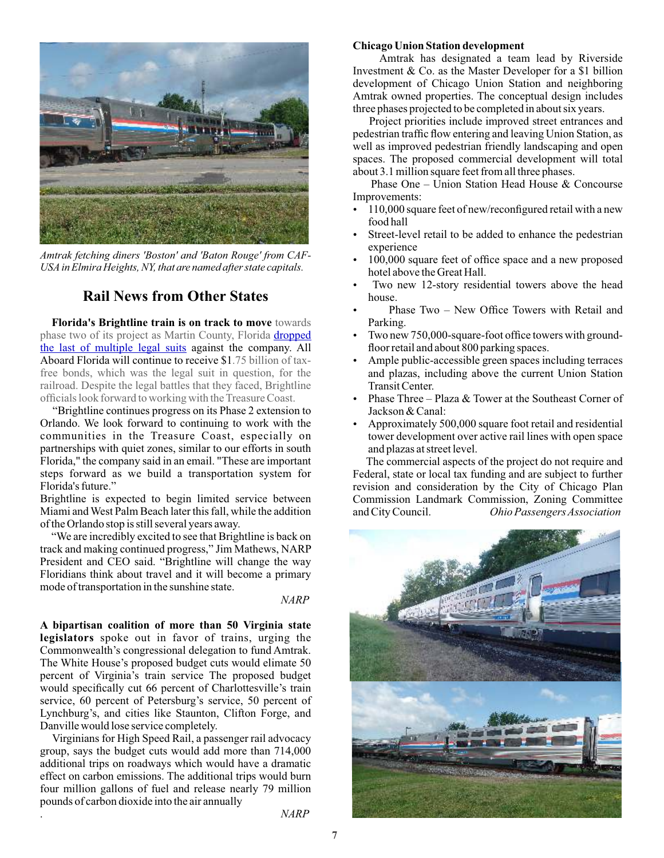

*Amtrak fetching diners 'Boston' and 'Baton Rouge' from CAF-USAin Elmira Heights, NY, that are named after state capitals.*

### **Rail News from Other States**

**Florida's Brightline train is on track to move** towards phase two of its project as Martin County, Florida dropped [the last of multiple legal suits](http://www.tcpalm.com/story/news/local/shaping-our-future/all-aboard-florida/2017/07/10/last-treasure-coast-legal-action-against-all-aboard-florida-dropped/464248001/) against the company. All Aboard Florida will continue to receive \$1.75 billion of taxfree bonds, which was the legal suit in question, for the railroad. Despite the legal battles that they faced, Brightline officials look forward to working with the Treasure Coast.

"Brightline continues progress on its Phase 2 extension to Orlando. We look forward to continuing to work with the communities in the Treasure Coast, especially on partnerships with quiet zones, similar to our efforts in south Florida," the company said in an email. "These are important steps forward as we build a transportation system for Florida's future."

Brightline is expected to begin limited service between Miami and West Palm Beach later this fall, while the addition of the Orlando stop is still several years away.

"We are incredibly excited to see that Brightline is back on track and making continued progress," Jim Mathews, NARP President and CEO said. "Brightline will change the way Floridians think about travel and it will become a primary mode of transportation in the sunshine state.

#### *NARP*

**A bipartisan coalition of more than 50 Virginia state legislators** spoke out in favor of trains, urging the Commonwealth's congressional delegation to fund Amtrak. The White House's proposed budget cuts would elimate 50 percent of Virginia's train service The proposed budget would specifically cut 66 percent of Charlottesville's train service, 60 percent of Petersburg's service, 50 percent of Lynchburg's, and cities like Staunton, Clifton Forge, and Danville would lose service completely.

Virginians for High Speed Rail, a passenger rail advocacy group, says the budget cuts would add more than 714,000 additional trips on roadways which would have a dramatic effect on carbon emissions. The additional trips would burn four million gallons of fuel and release nearly 79 million pounds of carbon dioxide into the air annually

. *NARP*

#### **Chicago Union Station development**

Amtrak has designated a team lead by Riverside Investment & Co. as the Master Developer for a \$1 billion development of Chicago Union Station and neighboring Amtrak owned properties. The conceptual design includes three phases projected to be completed in about six years.

Project priorities include improved street entrances and pedestrian traffic flow entering and leaving Union Station, as well as improved pedestrian friendly landscaping and open spaces. The proposed commercial development will total about 3.1 million square feet from all three phases.

Phase One – Union Station Head House & Concourse Improvements:

- 110,000 square feet of new/reconfigured retail with a new food hall
- Street-level retail to be added to enhance the pedestrian experience
- 100,000 square feet of office space and a new proposed hotel above the Great Hall.
- Two new 12-story residential towers above the head house.
- Phase Two New Office Towers with Retail and Parking.
- Two new 750,000-square-foot office towers with groundfloor retail and about 800 parking spaces.
- Ample public-accessible green spaces including terraces and plazas, including above the current Union Station Transit Center.
- Phase Three Plaza  $&$  Tower at the Southeast Corner of Jackson & Canal:
- Approximately 500,000 square foot retail and residential tower development over active rail lines with open space and plazas at street level.

The commercial aspects of the project do not require and Federal, state or local tax funding and are subject to further revision and consideration by the City of Chicago Plan Commission Landmark Commission, Zoning Committee<br>and City Council. *Ohio Passengers Association*  $O$ hio Passengers Association